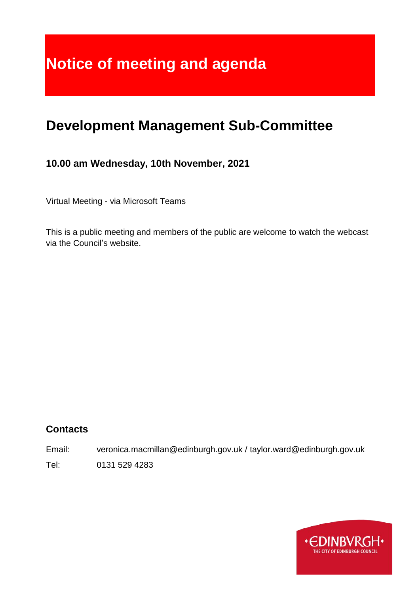# **Notice of meeting and agenda**

## **Development Management Sub-Committee**

## **10.00 am Wednesday, 10th November, 2021**

Virtual Meeting - via Microsoft Teams

This is a public meeting and members of the public are welcome to watch the webcast via the Council's website.

### **Contacts**

Email: veronica.macmillan@edinburgh.gov.uk / taylor.ward@edinburgh.gov.uk

Tel: 0131 529 4283

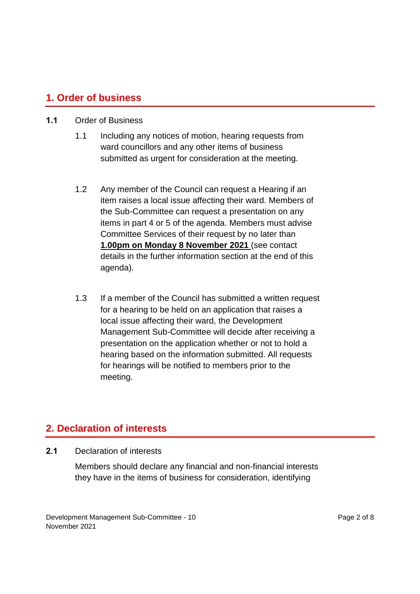#### **1. Order of business**

#### **1.1** Order of Business

- 1.1 Including any notices of motion, hearing requests from ward councillors and any other items of business submitted as urgent for consideration at the meeting.
- 1.2 Any member of the Council can request a Hearing if an item raises a local issue affecting their ward. Members of the Sub-Committee can request a presentation on any items in part 4 or 5 of the agenda. Members must advise Committee Services of their request by no later than **1.00pm on Monday 8 November 2021** (see contact details in the further information section at the end of this agenda).
- 1.3 If a member of the Council has submitted a written request for a hearing to be held on an application that raises a local issue affecting their ward, the Development Management Sub-Committee will decide after receiving a presentation on the application whether or not to hold a hearing based on the information submitted. All requests for hearings will be notified to members prior to the meeting.

#### **2. Declaration of interests**

**2.1** Declaration of interests

Members should declare any financial and non-financial interests they have in the items of business for consideration, identifying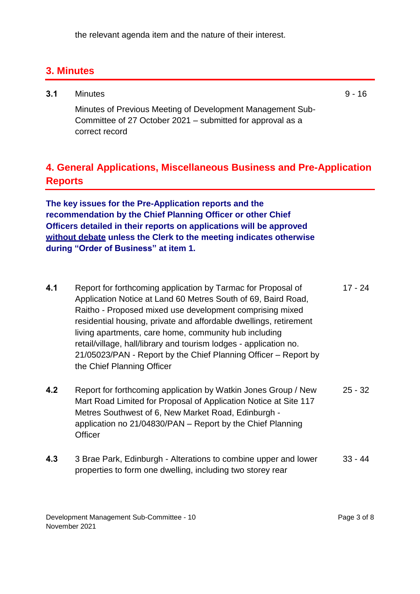the relevant agenda item and the nature of their interest.

## **3. Minutes**

| 3.1 | <b>Minutes</b>                                                                                                           | $9 - 16$ |
|-----|--------------------------------------------------------------------------------------------------------------------------|----------|
|     | Minutes of Previous Meeting of Development Management Sub-<br>Committee of 27 October 2021 – submitted for approval as a |          |
|     | correct record                                                                                                           |          |

## **4. General Applications, Miscellaneous Business and Pre-Application Reports**

**The key issues for the Pre-Application reports and the recommendation by the Chief Planning Officer or other Chief Officers detailed in their reports on applications will be approved without debate unless the Clerk to the meeting indicates otherwise during "Order of Business" at item 1.** 

- **4.1** Report for forthcoming application by Tarmac for Proposal of Application Notice at Land 60 Metres South of 69, Baird Road, Raitho - Proposed mixed use development comprising mixed residential housing, private and affordable dwellings, retirement living apartments, care home, community hub including retail/village, hall/library and tourism lodges - application no. 21/05023/PAN - Report by the Chief Planning Officer – Report by the Chief Planning Officer 17 - 24
- **4.2** Report for forthcoming application by Watkin Jones Group / New Mart Road Limited for Proposal of Application Notice at Site 117 Metres Southwest of 6, New Market Road, Edinburgh application no 21/04830/PAN – Report by the Chief Planning **Officer** 25 - 32
- **4.3** 3 Brae Park, Edinburgh Alterations to combine upper and lower properties to form one dwelling, including two storey rear 33 - 44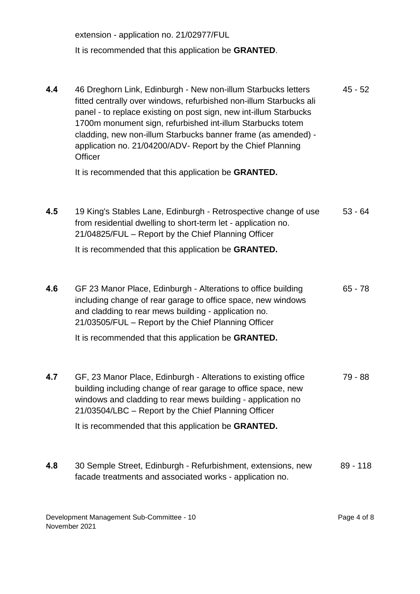extension - application no. 21/02977/FUL It is recommended that this application be **GRANTED**.

**4.4** 46 Dreghorn Link, Edinburgh - New non-illum Starbucks letters fitted centrally over windows, refurbished non-illum Starbucks ali panel - to replace existing on post sign, new int-illum Starbucks 1700m monument sign, refurbished int-illum Starbucks totem cladding, new non-illum Starbucks banner frame (as amended) application no. 21/04200/ADV- Report by the Chief Planning **Officer** It is recommended that this application be **GRANTED.** 45 - 52 **4.5** 19 King's Stables Lane, Edinburgh - Retrospective change of use from residential dwelling to short-term let - application no. 21/04825/FUL – Report by the Chief Planning Officer It is recommended that this application be **GRANTED.** 53 - 64 **4.6** GF 23 Manor Place, Edinburgh - Alterations to office building including change of rear garage to office space, new windows and cladding to rear mews building - application no. 21/03505/FUL – Report by the Chief Planning Officer It is recommended that this application be **GRANTED.** 65 - 78 **4.7** GF, 23 Manor Place, Edinburgh - Alterations to existing office building including change of rear garage to office space, new windows and cladding to rear mews building - application no 21/03504/LBC – Report by the Chief Planning Officer It is recommended that this application be **GRANTED.** 79 - 88 **4.8** 30 Semple Street, Edinburgh - Refurbishment, extensions, new 89 - 118

facade treatments and associated works - application no.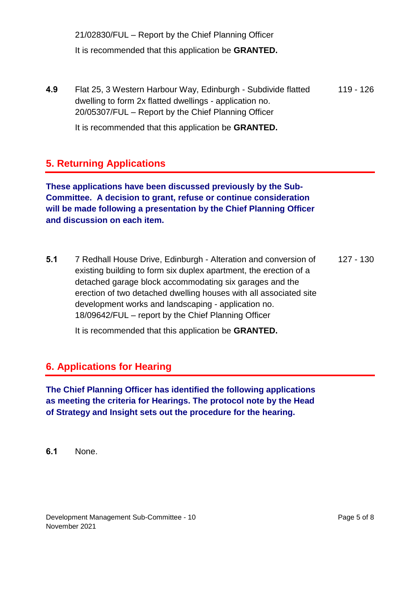21/02830/FUL – Report by the Chief Planning Officer It is recommended that this application be **GRANTED.**

**4.9** Flat 25, 3 Western Harbour Way, Edinburgh - Subdivide flatted dwelling to form 2x flatted dwellings - application no. 20/05307/FUL – Report by the Chief Planning Officer 119 - 126

It is recommended that this application be **GRANTED.**

## **5. Returning Applications**

**These applications have been discussed previously by the Sub-Committee. A decision to grant, refuse or continue consideration will be made following a presentation by the Chief Planning Officer and discussion on each item.**

**5.1** 7 Redhall House Drive, Edinburgh - Alteration and conversion of existing building to form six duplex apartment, the erection of a detached garage block accommodating six garages and the erection of two detached dwelling houses with all associated site development works and landscaping - application no. 18/09642/FUL – report by the Chief Planning Officer 127 - 130

It is recommended that this application be **GRANTED.**

### **6. Applications for Hearing**

**The Chief Planning Officer has identified the following applications as meeting the criteria for Hearings. The protocol note by the Head of Strategy and Insight sets out the procedure for the hearing.**

**6.1** None.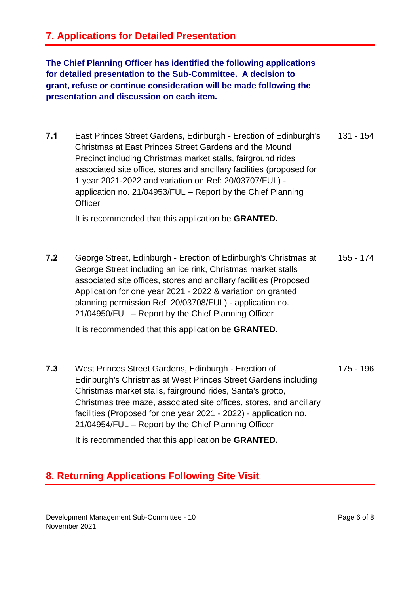## **7. Applications for Detailed Presentation**

**The Chief Planning Officer has identified the following applications for detailed presentation to the Sub-Committee. A decision to grant, refuse or continue consideration will be made following the presentation and discussion on each item.**

**7.1** East Princes Street Gardens, Edinburgh - Erection of Edinburgh's Christmas at East Princes Street Gardens and the Mound Precinct including Christmas market stalls, fairground rides associated site office, stores and ancillary facilities (proposed for 1 year 2021-2022 and variation on Ref: 20/03707/FUL) application no. 21/04953/FUL – Report by the Chief Planning **Officer** 131 - 154

It is recommended that this application be **GRANTED.**

**7.2** George Street, Edinburgh - Erection of Edinburgh's Christmas at George Street including an ice rink, Christmas market stalls associated site offices, stores and ancillary facilities (Proposed Application for one year 2021 - 2022 & variation on granted planning permission Ref: 20/03708/FUL) - application no. 21/04950/FUL – Report by the Chief Planning Officer 155 - 174

It is recommended that this application be **GRANTED**.

**7.3** West Princes Street Gardens, Edinburgh - Erection of Edinburgh's Christmas at West Princes Street Gardens including Christmas market stalls, fairground rides, Santa's grotto, Christmas tree maze, associated site offices, stores, and ancillary facilities (Proposed for one year 2021 - 2022) - application no. 21/04954/FUL – Report by the Chief Planning Officer 175 - 196

It is recommended that this application be **GRANTED.**

## **8. Returning Applications Following Site Visit**

Development Management Sub-Committee - 10 November 2021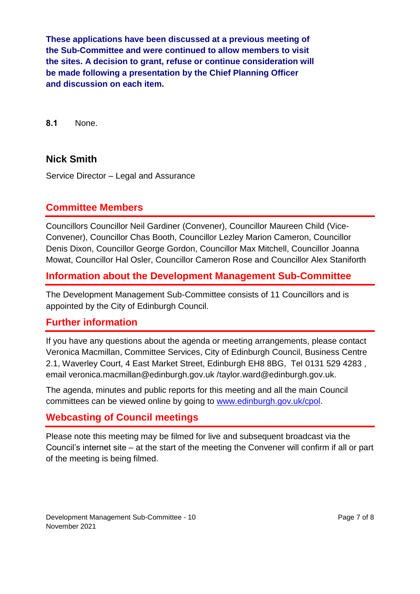**These applications have been discussed at a previous meeting of the Sub-Committee and were continued to allow members to visit the sites. A decision to grant, refuse or continue consideration will be made following a presentation by the Chief Planning Officer and discussion on each item.**

**8.1** None.

#### **Nick Smith**

Service Director – Legal and Assurance

#### **Committee Members**

Councillors Councillor Neil Gardiner (Convener), Councillor Maureen Child (Vice-Convener), Councillor Chas Booth, Councillor Lezley Marion Cameron, Councillor Denis Dixon, Councillor George Gordon, Councillor Max Mitchell, Councillor Joanna Mowat, Councillor Hal Osler, Councillor Cameron Rose and Councillor Alex Staniforth

#### **Information about the Development Management Sub-Committee**

The Development Management Sub-Committee consists of 11 Councillors and is appointed by the City of Edinburgh Council.

#### **Further information**

If you have any questions about the agenda or meeting arrangements, please contact Veronica Macmillan, Committee Services, City of Edinburgh Council, Business Centre 2.1, Waverley Court, 4 East Market Street, Edinburgh EH8 8BG, Tel 0131 529 4283 , email veronica.macmillan@edinburgh.gov.uk /taylor.ward@edinburgh.gov.uk.

The agenda, minutes and public reports for this meeting and all the main Council committees can be viewed online by going to [www.edinburgh.gov.uk/cpol.](http://www.edinburgh.gov.uk/cpol)

#### **Webcasting of Council meetings**

Please note this meeting may be filmed for live and subsequent broadcast via the Council's internet site – at the start of the meeting the Convener will confirm if all or part of the meeting is being filmed.